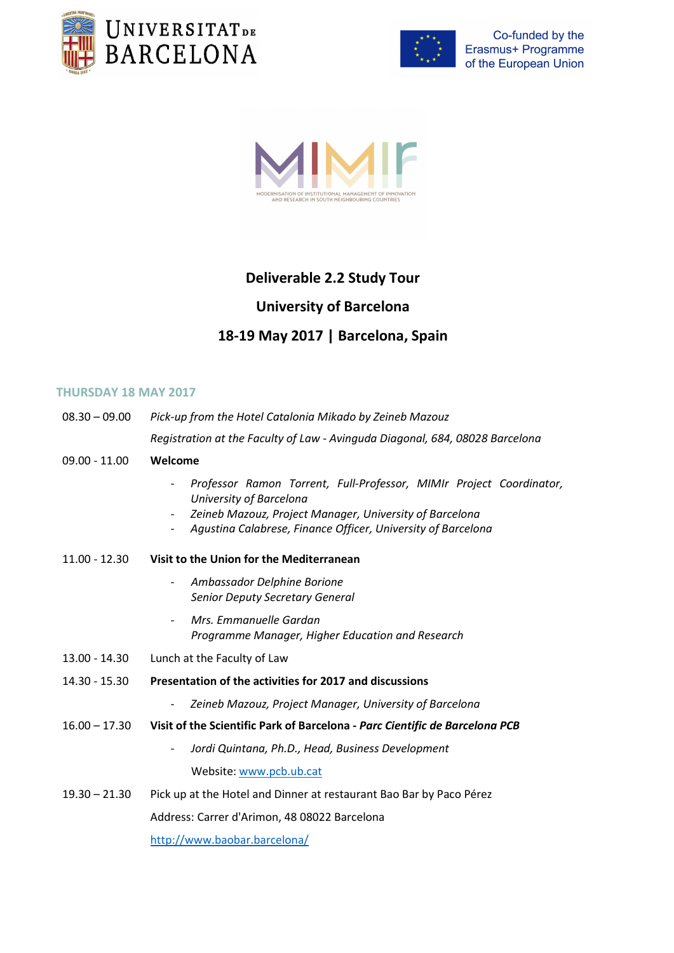





# Deliverable 2.2 Study Tour

# University of Barcelona

# 18-19 May 2017 | Barcelona, Spain

#### THURSDAY 18 MAY 2017

| $08.30 - 09.00$ | Pick-up from the Hotel Catalonia Mikado by Zeineb Mazouz                                                                                                                                                                                              |
|-----------------|-------------------------------------------------------------------------------------------------------------------------------------------------------------------------------------------------------------------------------------------------------|
|                 | Registration at the Faculty of Law - Avinguda Diagonal, 684, 08028 Barcelona                                                                                                                                                                          |
| $09.00 - 11.00$ | Welcome                                                                                                                                                                                                                                               |
|                 | Professor Ramon Torrent, Full-Professor, MIMIr Project Coordinator,<br>University of Barcelona<br>Zeineb Mazouz, Project Manager, University of Barcelona<br>Agustina Calabrese, Finance Officer, University of Barcelona<br>$\overline{\phantom{a}}$ |
| $11.00 - 12.30$ | Visit to the Union for the Mediterranean                                                                                                                                                                                                              |
|                 | Ambassador Delphine Borione<br>$\overline{\phantom{a}}$<br>Senior Deputy Secretary General                                                                                                                                                            |
|                 | Mrs. Emmanuelle Gardan<br>Programme Manager, Higher Education and Research                                                                                                                                                                            |
| 13.00 - 14.30   | Lunch at the Faculty of Law                                                                                                                                                                                                                           |
| 14.30 - 15.30   | Presentation of the activities for 2017 and discussions                                                                                                                                                                                               |
|                 | Zeineb Mazouz, Project Manager, University of Barcelona<br>$\overline{\phantom{a}}$                                                                                                                                                                   |
| $16.00 - 17.30$ | Visit of the Scientific Park of Barcelona - Parc Cientific de Barcelona PCB                                                                                                                                                                           |
|                 | Jordi Quintana, Ph.D., Head, Business Development                                                                                                                                                                                                     |
|                 | Website: www.pcb.ub.cat                                                                                                                                                                                                                               |
| $19.30 - 21.30$ | Pick up at the Hotel and Dinner at restaurant Bao Bar by Paco Pérez                                                                                                                                                                                   |
|                 | Address: Carrer d'Arimon, 48 08022 Barcelona                                                                                                                                                                                                          |
|                 | http://www.baobar.barcelona/                                                                                                                                                                                                                          |